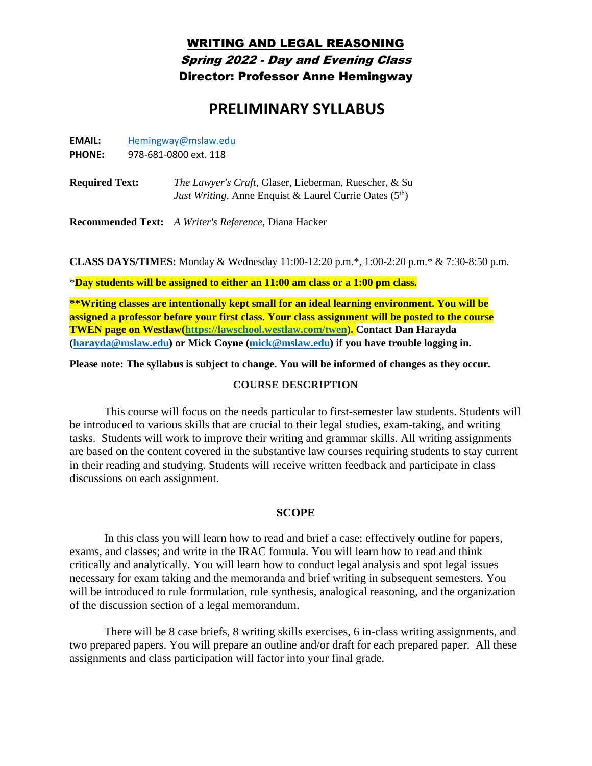# WRITING AND LEGAL REASONING Spring 2022 - Day and Evening Class Director: Professor Anne Hemingway

# **PRELIMINARY SYLLABUS**

| <b>EMAIL:</b> | Hemingway@mslaw.edu |
|---------------|---------------------|
|               |                     |

**PHONE:** 978-681-0800 ext. 118

**Required Text:** *The Lawyer's Craft*, Glaser, Lieberman, Ruescher, & Su *Just Writing*, Anne Enquist & Laurel Currie Oates (5<sup>th</sup>)

**Recommended Text:** *A Writer's Reference,* Diana Hacker

**CLASS DAYS/TIMES:** Monday & Wednesday 11:00-12:20 p.m.\*, 1:00-2:20 p.m.\* & 7:30-8:50 p.m.

\***Day students will be assigned to either an 11:00 am class or a 1:00 pm class.**

**\*\*Writing classes are intentionally kept small for an ideal learning environment. You will be assigned a professor before your first class. Your class assignment will be posted to the course TWEN page on Westlaw[\(https://lawschool.westlaw.com/twen\)](https://lawschool.westlaw.com/twen). Contact Dan Harayda [\(harayda@mslaw.edu\)](mailto:harayda@mslae.edu) or Mick Coyne [\(mick@mslaw.edu\)](mailto:mick@mslaw.edu) if you have trouble logging in.** 

**Please note: The syllabus is subject to change. You will be informed of changes as they occur.** 

#### **COURSE DESCRIPTION**

This course will focus on the needs particular to first-semester law students. Students will be introduced to various skills that are crucial to their legal studies, exam-taking, and writing tasks. Students will work to improve their writing and grammar skills. All writing assignments are based on the content covered in the substantive law courses requiring students to stay current in their reading and studying. Students will receive written feedback and participate in class discussions on each assignment.

#### **SCOPE**

In this class you will learn how to read and brief a case; effectively outline for papers, exams, and classes; and write in the IRAC formula. You will learn how to read and think critically and analytically. You will learn how to conduct legal analysis and spot legal issues necessary for exam taking and the memoranda and brief writing in subsequent semesters. You will be introduced to rule formulation, rule synthesis, analogical reasoning, and the organization of the discussion section of a legal memorandum.

There will be 8 case briefs, 8 writing skills exercises, 6 in-class writing assignments, and two prepared papers. You will prepare an outline and/or draft for each prepared paper. All these assignments and class participation will factor into your final grade.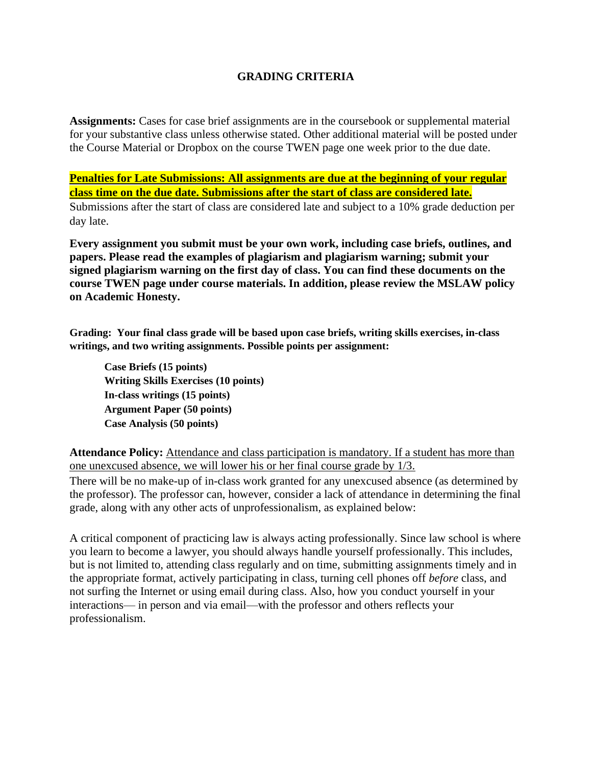# **GRADING CRITERIA**

**Assignments:** Cases for case brief assignments are in the coursebook or supplemental material for your substantive class unless otherwise stated. Other additional material will be posted under the Course Material or Dropbox on the course TWEN page one week prior to the due date.

**Penalties for Late Submissions: All assignments are due at the beginning of your regular class time on the due date. Submissions after the start of class are considered late.** Submissions after the start of class are considered late and subject to a 10% grade deduction per day late.

**Every assignment you submit must be your own work, including case briefs, outlines, and papers. Please read the examples of plagiarism and plagiarism warning; submit your signed plagiarism warning on the first day of class. You can find these documents on the course TWEN page under course materials. In addition, please review the MSLAW policy on Academic Honesty.** 

**Grading: Your final class grade will be based upon case briefs, writing skills exercises, in-class writings, and two writing assignments. Possible points per assignment:**

**Case Briefs (15 points) Writing Skills Exercises (10 points) In-class writings (15 points) Argument Paper (50 points) Case Analysis (50 points)**

**Attendance Policy:** Attendance and class participation is mandatory. If a student has more than one unexcused absence, we will lower his or her final course grade by 1/3.

There will be no make-up of in-class work granted for any unexcused absence (as determined by the professor). The professor can, however, consider a lack of attendance in determining the final grade, along with any other acts of unprofessionalism, as explained below:

A critical component of practicing law is always acting professionally. Since law school is where you learn to become a lawyer, you should always handle yourself professionally. This includes, but is not limited to, attending class regularly and on time, submitting assignments timely and in the appropriate format, actively participating in class, turning cell phones off *before* class, and not surfing the Internet or using email during class. Also, how you conduct yourself in your interactions— in person and via email—with the professor and others reflects your professionalism.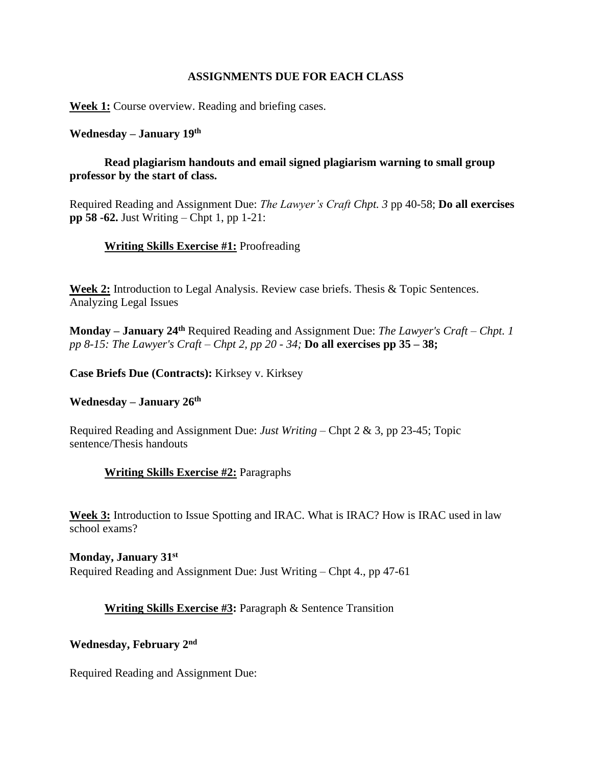#### **ASSIGNMENTS DUE FOR EACH CLASS**

**Week 1:** Course overview. Reading and briefing cases.

#### **Wednesday – January 19th**

# **Read plagiarism handouts and email signed plagiarism warning to small group professor by the start of class.**

Required Reading and Assignment Due: *The Lawyer's Craft Chpt. 3* pp 40-58; **Do all exercises pp 58 -62.** Just Writing – Chpt 1, pp 1-21:

#### **Writing Skills Exercise #1:** Proofreading

**Week 2:** Introduction to Legal Analysis. Review case briefs. Thesis & Topic Sentences. Analyzing Legal Issues

**Monday – January 24th** Required Reading and Assignment Due: *The Lawyer's Craft – Chpt. 1 pp 8-15: The Lawyer's Craft – Chpt 2, pp 20 - 34;* **Do all exercises pp 35 – 38;**

**Case Briefs Due (Contracts):** Kirksey v. Kirksey

#### **Wednesday – January 26th**

Required Reading and Assignment Due: *Just Writing* – Chpt 2 & 3, pp 23-45; Topic sentence/Thesis handouts

#### **Writing Skills Exercise #2:** Paragraphs

**Week 3:** Introduction to Issue Spotting and IRAC. What is IRAC? How is IRAC used in law school exams?

**Monday, January 31st** Required Reading and Assignment Due: Just Writing – Chpt 4., pp 47-61

# **Writing Skills Exercise #3:** Paragraph & Sentence Transition

# **Wednesday, February 2nd**

Required Reading and Assignment Due: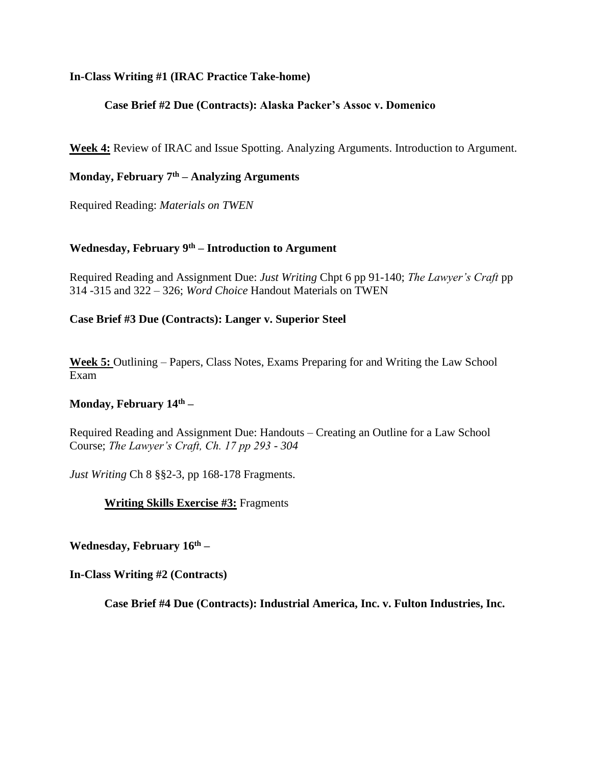#### **In-Class Writing #1 (IRAC Practice Take-home)**

## **Case Brief #2 Due (Contracts): Alaska Packer's Assoc v. Domenico**

**Week 4:** Review of IRAC and Issue Spotting. Analyzing Arguments. Introduction to Argument.

# **Monday, February 7th – Analyzing Arguments**

Required Reading: *Materials on TWEN*

# **Wednesday, February 9th – Introduction to Argument**

Required Reading and Assignment Due: *Just Writing* Chpt 6 pp 91-140; *The Lawyer's Craft* pp 314 -315 and 322 – 326; *Word Choice* Handout Materials on TWEN

#### **Case Brief #3 Due (Contracts): Langer v. Superior Steel**

**Week 5:** Outlining – Papers, Class Notes, Exams Preparing for and Writing the Law School Exam

#### **Monday, February 14th –**

Required Reading and Assignment Due: Handouts – Creating an Outline for a Law School Course; *The Lawyer's Craft, Ch. 17 pp 293 - 304*

*Just Writing* Ch 8 §§2-3, pp 168-178 Fragments.

**Writing Skills Exercise #3:** Fragments

**Wednesday, February 16th –**

**In-Class Writing #2 (Contracts)**

**Case Brief #4 Due (Contracts): Industrial America, Inc. v. Fulton Industries, Inc.**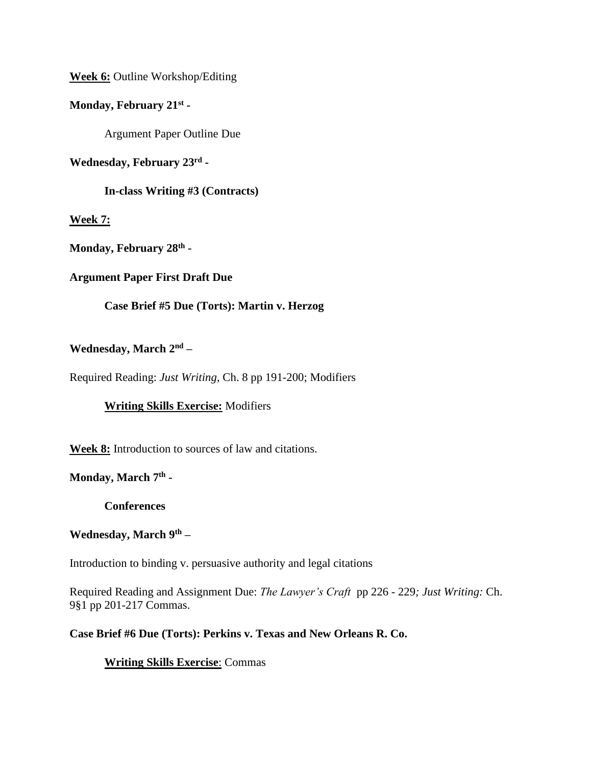**Week 6:** Outline Workshop/Editing

# **Monday, February 21st -**

Argument Paper Outline Due

**Wednesday, February 23rd -**

**In-class Writing #3 (Contracts)**

#### **Week 7:**

**Monday, February 28th -**

#### **Argument Paper First Draft Due**

# **Case Brief #5 Due (Torts): Martin v. Herzog**

#### **Wednesday, March 2nd –**

Required Reading: *Just Writing*, Ch. 8 pp 191-200; Modifiers

# **Writing Skills Exercise:** Modifiers

**Week 8:** Introduction to sources of law and citations.

# **Monday, March 7th -**

**Conferences**

#### **Wednesday, March 9th –**

Introduction to binding v. persuasive authority and legal citations

Required Reading and Assignment Due: *The Lawyer's Craft* pp 226 - 229*; Just Writing:* Ch. 9§1 pp 201-217 Commas.

#### **Case Brief #6 Due (Torts): Perkins v. Texas and New Orleans R. Co.**

# **Writing Skills Exercise**: Commas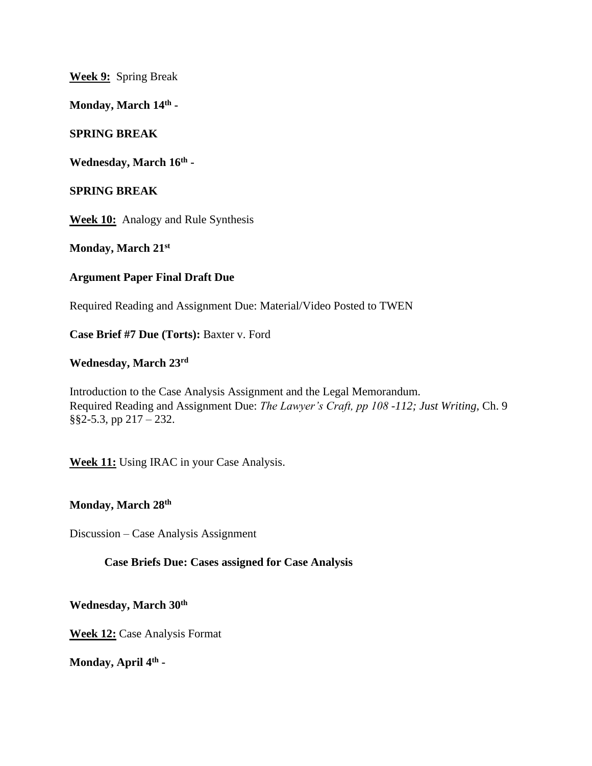**Week 9:** Spring Break

**Monday, March 14th -**

#### **SPRING BREAK**

**Wednesday, March 16th -**

#### **SPRING BREAK**

**Week 10:** Analogy and Rule Synthesis

**Monday, March 21st**

#### **Argument Paper Final Draft Due**

Required Reading and Assignment Due: Material/Video Posted to TWEN

**Case Brief #7 Due (Torts):** Baxter v. Ford

# **Wednesday, March 23rd**

Introduction to the Case Analysis Assignment and the Legal Memorandum. Required Reading and Assignment Due: *The Lawyer's Craft, pp 108 -112; Just Writing,* Ch. 9 §§2-5.3, pp 217 – 232.

**Week 11:** Using IRAC in your Case Analysis.

## **Monday, March 28th**

Discussion – Case Analysis Assignment

#### **Case Briefs Due: Cases assigned for Case Analysis**

**Wednesday, March 30th**

**Week 12:** Case Analysis Format

**Monday, April 4th -**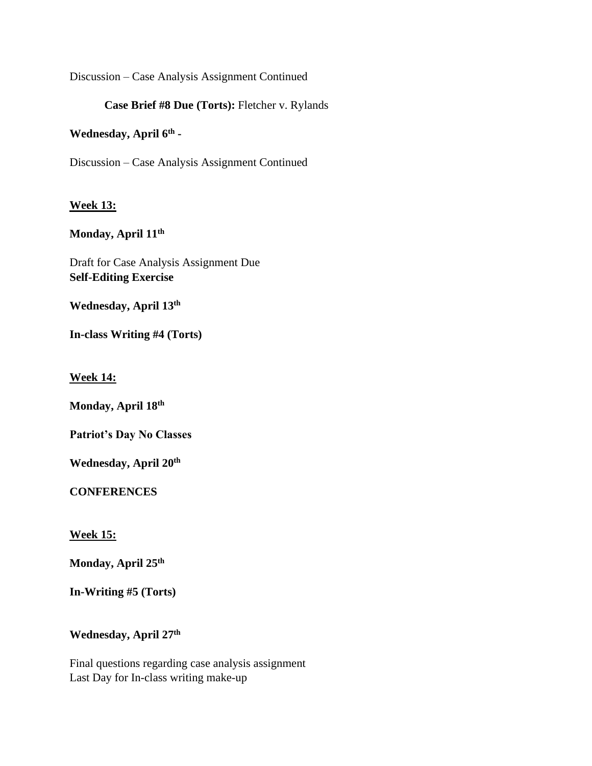Discussion – Case Analysis Assignment Continued

## **Case Brief #8 Due (Torts):** Fletcher v. Rylands

## **Wednesday, April 6th -**

Discussion – Case Analysis Assignment Continued

#### **Week 13:**

#### **Monday, April 11th**

Draft for Case Analysis Assignment Due **Self-Editing Exercise**

**Wednesday, April 13th**

**In-class Writing #4 (Torts)**

**Week 14:**

**Monday, April 18th**

**Patriot's Day No Classes**

**Wednesday, April 20th**

**CONFERENCES**

**Week 15:**

**Monday, April 25th**

**In-Writing #5 (Torts)**

# **Wednesday, April 27th**

Final questions regarding case analysis assignment Last Day for In-class writing make-up